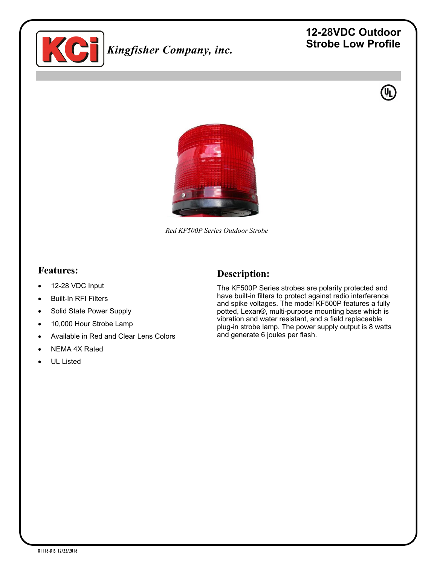

# *Kingfisher Company, inc.*

## **12-28VDC Outdoor Strobe Low Profile**





*Red KF500P Series Outdoor Strobe* 

#### **Features:**

- 12-28 VDC Input
- Built-In RFI Filters
- Solid State Power Supply
- 10,000 Hour Strobe Lamp
- Available in Red and Clear Lens Colors
- NEMA 4X Rated
- UL Listed

#### **Description:**

The KF500P Series strobes are polarity protected and have built-in filters to protect against radio interference and spike voltages. The model KF500P features a fully potted, Lexan®, multi-purpose mounting base which is vibration and water resistant, and a field replaceable plug-in strobe lamp. The power supply output is 8 watts and generate 6 joules per flash.